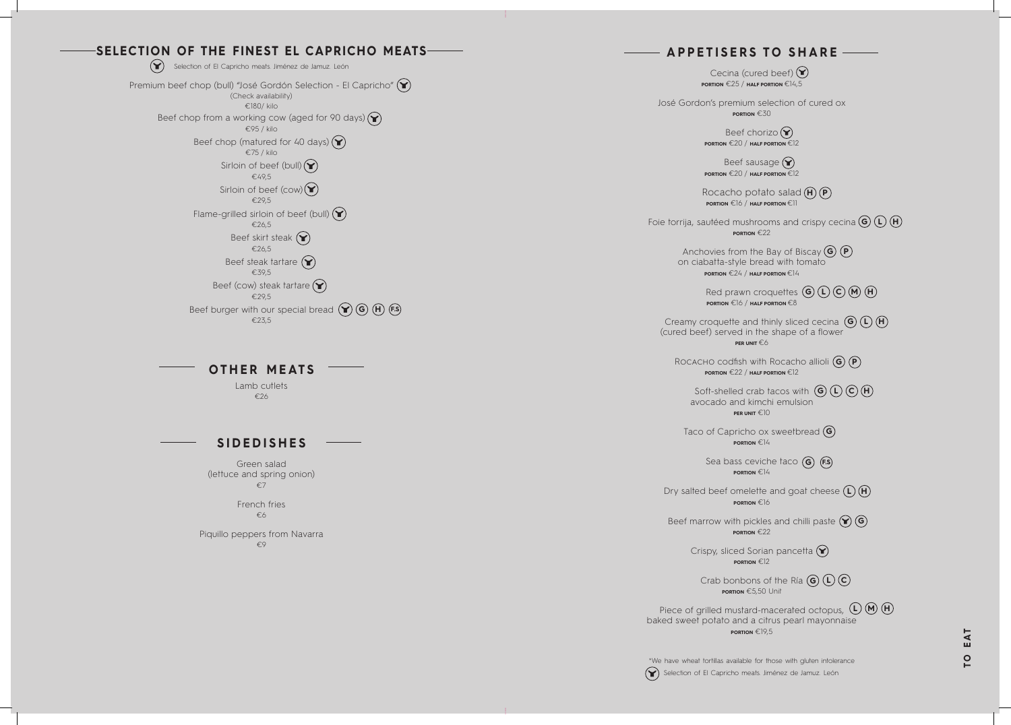# **A P P E T I S E R S T O S H A R E**

Cecina (cured beef)  $\bigodot$ **PORTION** €25 / **HALF PORTION** €14,5

> Beef chorizo  $\mathbf{\widehat{P}}$ **PORTION** €20 / **HALF PORTION** €12

José Gordon's premium selection of cured ox **PORTION** €30

> Beef sausage  $\left(\bigtriangledown\right)$ **PORTION** €20 / **HALF PORTION** €12

Rocacho potato salad (**H**) (**P PORTION** €16 / **HALF PORTION** €11

Anchovies from the Bay of Biscay **G P** on ciabatta-style bread with tomato **PORTION** €24 / **HALF PORTION** €14

> Red prawn croquettes  $(G)(L)(C)(M)$  (**H PORTION** €16 / **HALF PORTION** €8

Creamy croquette and thinly sliced cecina **G L H** (cured beef) served in the shape of a flower **PER UNIT** €6

Foie torrija, sautéed mushrooms and crispy cecina **G L H PORTION** €22

ROCACHO codfish with Rocacho allioli (G) (P **PORTION** €22 / **HALF PORTION** €12

> Sea bass ceviche taco (G) (F.S **PORTION** €14

Dry salted beef omelette and goat cheese  $(L)$   $(H)$ **PORTION** €16

> Crispy, sliced Sorian pancetta  $(\blacktriangleright)$ **PORTION** €12

Piece of grilled mustard-macerated octopus,  $(L)$  (**M**) (**H**) baked sweet potato and a citrus pearl mayonnaise **PORTION** €19,5

Selection of El Capricho meats. Jiménez de Jamuz. León \*We have wheat tortillas available for those with gluten intolerance

Taco of Capricho ox sweetbread **G PORTION** €14

Premium beef chop (bull) "José Gordón Selection - El Capricho" (Y) (Check availability) €180/ kilo Beef chop from a working cow (aged for 90 days)  $\left(\bigbullet\right)$ €95 / kilo Beef chop (matured for 40 days)  $(\blacktriangleright)$ €75 / kilo Sirloin of beef (bull)  $(\blacktriangleright)$ €49,5

> Beef marrow with pickles and chilli paste **G PORTION** €22

Sirloin of beef (cow) $(Y)$ €29,5 Flame-grilled sirloin of beef (bull)  $(\blacktriangleright)$ €26,5 Beef skirt steak  $\left(\bigbullet\right)$ €26,5 Beef steak tartare  $(\blacktriangleright)$ €39,5 Beef (cow) steak tartare  $(\blacktriangleright)$ €29,5 Beef burger with our special bread  $(\blacktriangleright)$  (G) (H) (F.S €23,5

Soft-shelled crab tacos with  $\left(\frac{G}{H}\right)\left(\frac{F}{H}\right)$ avocado and kimchi emulsion **PER UNIT** €10 **G**) draaid home aar Good to infance and Good to infance and Good to infance and Good to infance and Good to infance and Good to infance and Good to infance and Good to infance and Good to infance and Good to infance and G **C**) a (er co) a (c) e (c) co **CCL**<br>1 **HH**

Crab bonbons of the Ría **L PORTION** €5,50 Unit

#### **OTHER MEATS**

Lamb cutlets €26

#### **SIDEDISHES**

Green salad (lettuce and spring onion) €7

French fries<br>€6

Piquillo peppers from Navarra  $\epsilon$ 9

## **SELECTION OF THE FINEST EL CAPRICHO MEATS**

Selection of El Capricho meats. Jiménez de Jamuz. León